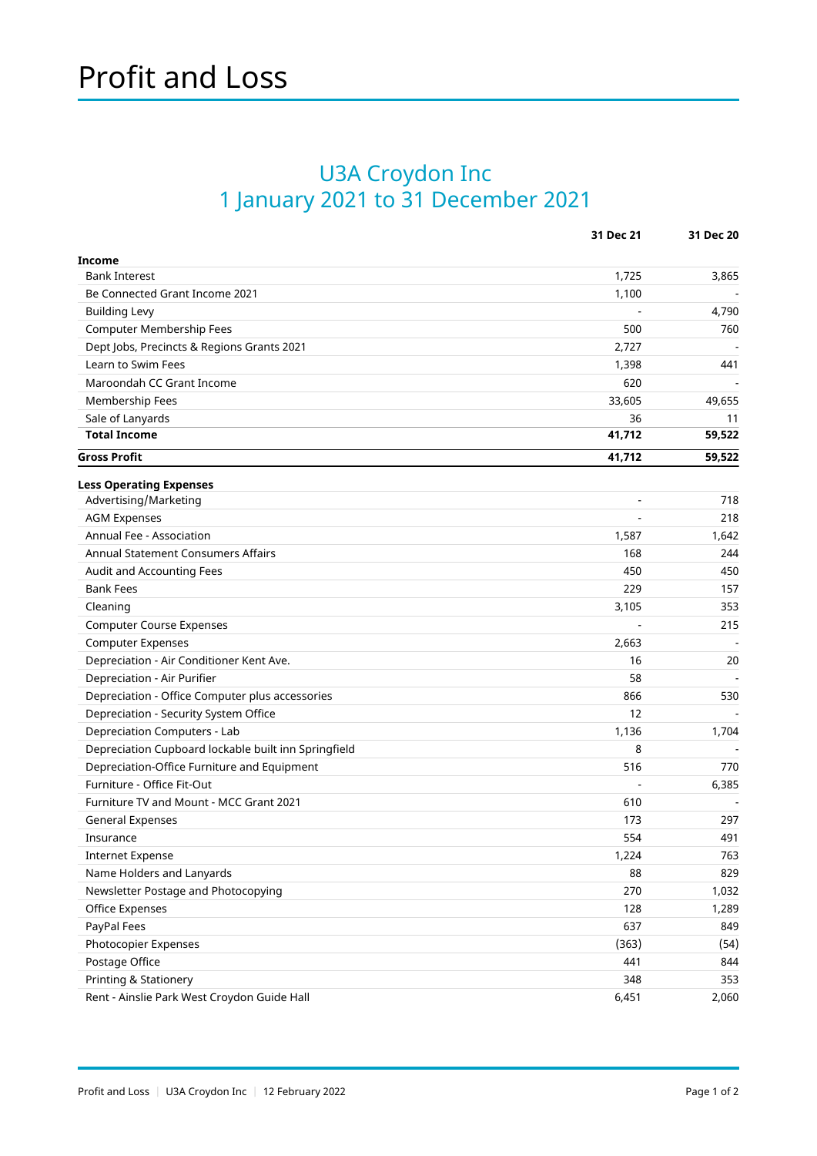## U3A Croydon Inc 1 January 2021 to 31 December 2021

|                                                      | 31 Dec 21 | 31 Dec 20 |
|------------------------------------------------------|-----------|-----------|
| <b>Income</b>                                        |           |           |
| <b>Bank Interest</b>                                 | 1,725     | 3,865     |
| Be Connected Grant Income 2021                       | 1,100     |           |
| <b>Building Levy</b>                                 |           | 4,790     |
| Computer Membership Fees                             | 500       | 760       |
| Dept Jobs, Precincts & Regions Grants 2021           | 2,727     |           |
| Learn to Swim Fees                                   | 1,398     | 441       |
| Maroondah CC Grant Income                            | 620       |           |
| Membership Fees                                      | 33,605    | 49,655    |
| Sale of Lanyards                                     | 36        | 11        |
| <b>Total Income</b>                                  | 41,712    | 59,522    |
| <b>Gross Profit</b>                                  | 41,712    | 59,522    |
| <b>Less Operating Expenses</b>                       |           |           |
| Advertising/Marketing                                |           | 718       |
| <b>AGM Expenses</b>                                  |           | 218       |
| Annual Fee - Association                             | 1,587     | 1,642     |
| Annual Statement Consumers Affairs                   | 168       | 244       |
| Audit and Accounting Fees                            | 450       | 450       |
| <b>Bank Fees</b>                                     | 229       | 157       |
| Cleaning                                             | 3,105     | 353       |
| <b>Computer Course Expenses</b>                      |           | 215       |
| <b>Computer Expenses</b>                             | 2,663     |           |
| Depreciation - Air Conditioner Kent Ave.             | 16        | 20        |
| Depreciation - Air Purifier                          | 58        |           |
| Depreciation - Office Computer plus accessories      | 866       | 530       |
| Depreciation - Security System Office                | 12        |           |
| Depreciation Computers - Lab                         | 1,136     | 1,704     |
| Depreciation Cupboard lockable built inn Springfield | 8         |           |
| Depreciation-Office Furniture and Equipment          | 516       | 770       |
| Furniture - Office Fit-Out                           |           | 6,385     |
| Furniture TV and Mount - MCC Grant 2021              | 610       |           |
| <b>General Expenses</b>                              | 173       | 297       |
| Insurance                                            | 554       | 491       |
| <b>Internet Expense</b>                              | 1,224     | 763       |
| Name Holders and Lanyards                            | 88        | 829       |
| Newsletter Postage and Photocopying                  | 270       | 1,032     |
| Office Expenses                                      | 128       | 1,289     |
| PayPal Fees                                          | 637       | 849       |
| Photocopier Expenses                                 | (363)     | (54)      |
| Postage Office                                       | 441       | 844       |
| Printing & Stationery                                | 348       | 353       |
| Rent - Ainslie Park West Croydon Guide Hall          | 6,451     | 2,060     |